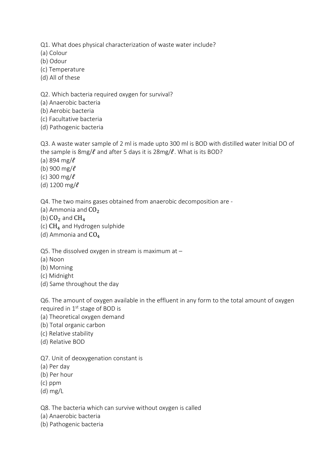Q1. What does physical characterization of waste water include?

(a) Colour

(b) Odour

(c) Temperature

(d) All of these

Q2. Which bacteria required oxygen for survival?

(a) Anaerobic bacteria

(b) Aerobic bacteria

(c) Facultative bacteria

(d) Pathogenic bacteria

Q3. A waste water sample of 2 ml is made upto 300 ml is BOD with distilled water Initial DO of the sample is 8mg/ $\ell$  and after 5 days it is 28mg/ $\ell$ . What is its BOD?

(a) 894 mg/ $\ell$ 

(b) 900 mg/ $\ell$ 

(c) 300 mg/ $\ell$ 

(d) 1200 mg/ $\ell$ 

Q4. The two mains gases obtained from anaerobic decomposition are -

(a) Ammonia and  $CO<sub>2</sub>$ 

(b)  $CO<sub>2</sub>$  and  $CH<sub>4</sub>$ 

(c)  $CH_4$  and Hydrogen sulphide

(d) Ammonia and  $CO<sub>4</sub>$ 

Q5. The dissolved oxygen in stream is maximum at –

(a) Noon

(b) Morning

(c) Midnight

(d) Same throughout the day

Q6. The amount of oxygen available in the effluent in any form to the total amount of oxygen required in 1<sup>st</sup> stage of BOD is

(a) Theoretical oxygen demand

(b) Total organic carbon

(c) Relative stability

(d) Relative BOD

Q7. Unit of deoxygenation constant is

(a) Per day

(b) Per hour

(c) ppm

(d) mg/L

Q8. The bacteria which can survive without oxygen is called

(a) Anaerobic bacteria

(b) Pathogenic bacteria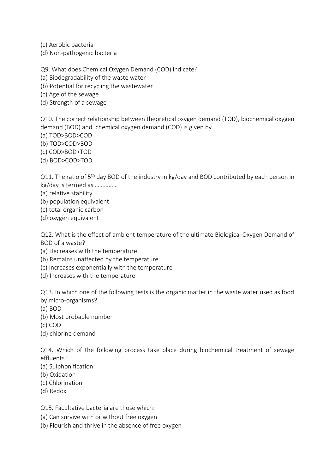(c) Aerobic bacteria

(d) Non-pathogenic bacteria

Q9. What does Chemical Oxygen Demand (COD) indicate?

(a) Biodegradability of the waste water

(b) Potential for recycling the wastewater

(c) Age of the sewage

(d) Strength of a sewage

Q10. The correct relationship between theoretical oxygen demand (TOD), biochemical oxygen demand (BOD) and, chemical oxygen demand (COD) is given by

(a) TOD>BOD>COD

(b) TOD>COD>BOD

(c) COD>BOD>TOD

(d) BOD>COD>TOD

Q11. The ratio of 5<sup>th</sup> day BOD of the industry in kg/day and BOD contributed by each person in kg/day is termed as ……………

(a) relative stability

(b) population equivalent

(c) total organic carbon

(d) oxygen equivalent

Q12. What is the effect of ambient temperature of the ultimate Biological Oxygen Demand of BOD of a waste?

(a) Decreases with the temperature

(b) Remains unaffected by the temperature

(c) Increases exponentially with the temperature

(d) Increases with the temperature

Q13. In which one of the following tests is the organic matter in the waste water used as food by micro-organisms?

(a) BOD

(b) Most probable number

(c) COD

(d) chlorine demand

Q14. Which of the following process take place during biochemical treatment of sewage effluents?

(a) Sulphonification

(b) Oxidation

(c) Chlorination

(d) Redox

Q15. Facultative bacteria are those which:

(a) Can survive with or without free oxygen

(b) Flourish and thrive in the absence of free oxygen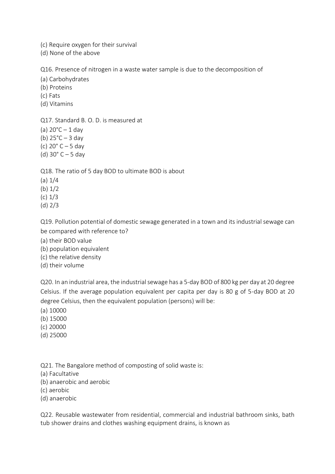(c) Require oxygen for their survival

(d) None of the above

Q16. Presence of nitrogen in a waste water sample is due to the decomposition of

(a) Carbohydrates

(b) Proteins

(c) Fats

(d) Vitamins

Q17. Standard B. O. D. is measured at

(a)  $20^{\circ}$ C – 1 day

(b) 25°C – 3 day

(c) 20° C – 5 day

(d)  $30^{\circ}$  C – 5 day

Q18. The ratio of 5 day BOD to ultimate BOD is about

(a) 1/4

(b) 1/2

(c) 1/3

(d) 2/3

Q19. Pollution potential of domestic sewage generated in a town and its industrial sewage can be compared with reference to?

(a) their BOD value

(b) population equivalent

(c) the relative density

(d) their volume

Q20. In an industrial area, the industrial sewage has a 5-day BOD of 800 kg per day at 20 degree Celsius. If the average population equivalent per capita per day is 80 g of 5-day BOD at 20 degree Celsius, then the equivalent population (persons) will be:

(a) 10000

(b) 15000

(c) 20000

(d) 25000

Q21. The Bangalore method of composting of solid waste is:

(a) Facultative

(b) anaerobic and aerobic

(c) aerobic

(d) anaerobic

Q22. Reusable wastewater from residential, commercial and industrial bathroom sinks, bath tub shower drains and clothes washing equipment drains, is known as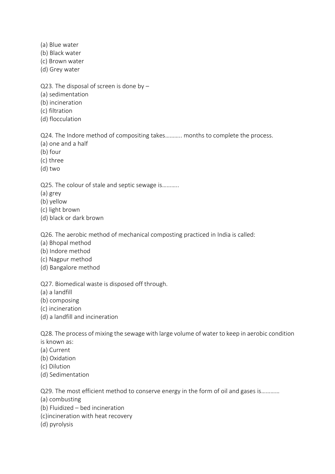- (a) Blue water
- (b) Black water
- (c) Brown water
- (d) Grey water
- Q23. The disposal of screen is done by –
- (a) sedimentation
- (b) incineration
- (c) filtration
- (d) flocculation

Q24. The Indore method of compositing takes……….. months to complete the process.

- (a) one and a half
- (b) four
- (c) three
- (d) two

Q25. The colour of stale and septic sewage is………..

- (a) grey
- (b) yellow
- (c) light brown
- (d) black or dark brown

Q26. The aerobic method of mechanical composting practiced in India is called:

- (a) Bhopal method
- (b) Indore method
- (c) Nagpur method
- (d) Bangalore method

Q27. Biomedical waste is disposed off through.

- (a) a landfill
- (b) composing
- (c) incineration
- (d) a landfill and incineration

Q28. The process of mixing the sewage with large volume of water to keep in aerobic condition is known as:

- (a) Current
- (b) Oxidation
- (c) Dilution
- (d) Sedimentation

Q29. The most efficient method to conserve energy in the form of oil and gases is…………

- (a) combusting
- (b) Fluidized bed incineration
- (c)incineration with heat recovery
- (d) pyrolysis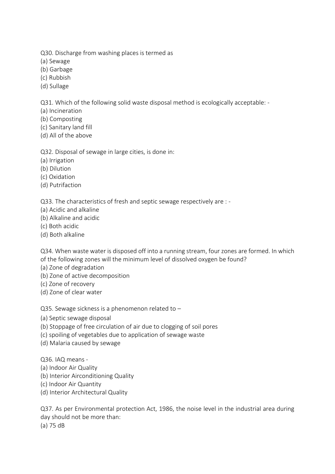Q30. Discharge from washing places is termed as

- (a) Sewage
- (b) Garbage
- (c) Rubbish
- (d) Sullage

Q31. Which of the following solid waste disposal method is ecologically acceptable: -

(a) Incineration

- (b) Composting
- (c) Sanitary land fill
- (d) All of the above

Q32. Disposal of sewage in large cities, is done in:

- (a) Irrigation
- (b) Dilution
- (c) Oxidation
- (d) Putrifaction

Q33. The characteristics of fresh and septic sewage respectively are : -

- (a) Acidic and alkaline
- (b) Alkaline and acidic
- (c) Both acidic
- (d) Both alkaline

Q34. When waste water is disposed off into a running stream, four zones are formed. In which of the following zones will the minimum level of dissolved oxygen be found?

- (a) Zone of degradation
- (b) Zone of active decomposition
- (c) Zone of recovery
- (d) Zone of clear water

Q35. Sewage sickness is a phenomenon related to –

- (a) Septic sewage disposal
- (b) Stoppage of free circulation of air due to clogging of soil pores
- (c) spoiling of vegetables due to application of sewage waste
- (d) Malaria caused by sewage

Q36. IAQ means -

- (a) Indoor Air Quality
- (b) Interior Airconditioning Quality
- (c) Indoor Air Quantity
- (d) Interior Architectural Quality

Q37. As per Environmental protection Act, 1986, the noise level in the industrial area during day should not be more than:

(a) 75 dB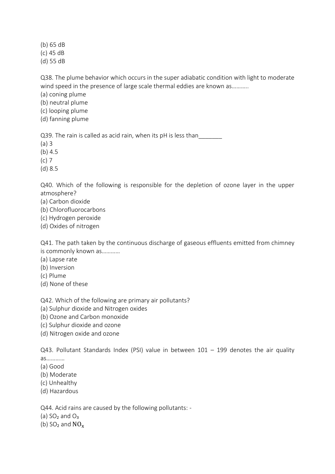(b) 65 dB

(c) 45 dB

(d) 55 dB

Q38. The plume behavior which occurs in the super adiabatic condition with light to moderate wind speed in the presence of large scale thermal eddies are known as...........

(a) coning plume

(b) neutral plume

(c) looping plume

(d) fanning plume

Q39. The rain is called as acid rain, when its pH is less than

(a) 3

(b) 4.5

(c) 7

(d) 8.5

Q40. Which of the following is responsible for the depletion of ozone layer in the upper atmosphere?

- (a) Carbon dioxide
- (b) Chlorofluorocarbons
- (c) Hydrogen peroxide
- (d) Oxides of nitrogen

Q41. The path taken by the continuous discharge of gaseous effluents emitted from chimney is commonly known as…………

- (a) Lapse rate
- (b) Inversion
- (c) Plume
- (d) None of these

Q42. Which of the following are primary air pollutants?

(a) Sulphur dioxide and Nitrogen oxides

(b) Ozone and Carbon monoxide

(c) Sulphur dioxide and ozone

(d) Nitrogen oxide and ozone

Q43. Pollutant Standards Index (PSI) value in between  $101 - 199$  denotes the air quality as…………

(a) Good

(b) Moderate

(c) Unhealthy

(d) Hazardous

Q44. Acid rains are caused by the following pollutants: -

(a)  $SO<sub>2</sub>$  and  $O<sub>3</sub>$ 

(b)  $SO_2$  and  $NO_x$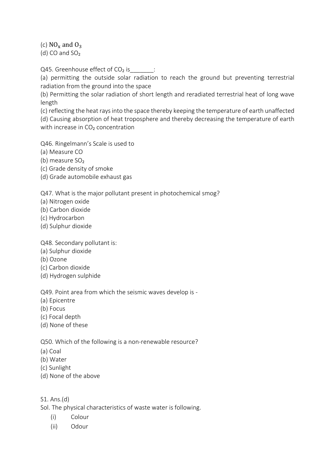(c)  $NO_x$  and  $O_3$ 

(d) CO and  $SO<sub>2</sub>$ 

Q45. Greenhouse effect of  $CO<sub>2</sub>$  is  $\hspace{1cm}$  :

(a) permitting the outside solar radiation to reach the ground but preventing terrestrial radiation from the ground into the space

(b) Permitting the solar radiation of short length and reradiated terrestrial heat of long wave length

(c) reflecting the heat rays into the space thereby keeping the temperature of earth unaffected (d) Causing absorption of heat troposphere and thereby decreasing the temperature of earth with increase in CO<sub>2</sub> concentration

Q46. Ringelmann's Scale is used to

(a) Measure CO

(b) measure SO<sub>2</sub>

- (c) Grade density of smoke
- (d) Grade automobile exhaust gas

Q47. What is the major pollutant present in photochemical smog?

- (a) Nitrogen oxide
- (b) Carbon dioxide
- (c) Hydrocarbon
- (d) Sulphur dioxide

Q48. Secondary pollutant is:

- (a) Sulphur dioxide
- (b) Ozone
- (c) Carbon dioxide
- (d) Hydrogen sulphide

Q49. Point area from which the seismic waves develop is -

- (a) Epicentre
- (b) Focus
- (c) Focal depth
- (d) None of these

Q50. Which of the following is a non-renewable resource?

- (a) Coal
- (b) Water
- (c) Sunlight
- (d) None of the above
- S1. Ans.(d)

Sol. The physical characteristics of waste water is following.

- (i) Colour
- (ii) Odour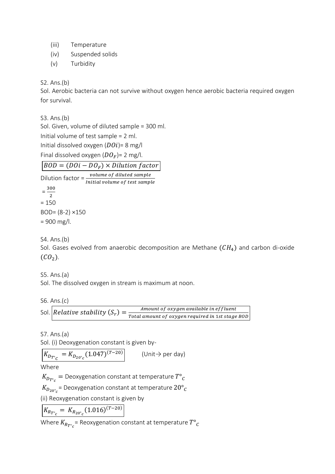(iii) Temperature

- (iv) Suspended solids
- (v) Turbidity

S2. Ans.(b)

Sol. Aerobic bacteria can not survive without oxygen hence aerobic bacteria required oxygen for survival.

S3. Ans.(b)

Sol. Given, volume of diluted sample = 300 ml. Initial volume of test sample = 2 ml. Initial dissolved oxygen  $(D0i)$ = 8 mg/l

Final dissolved oxygen  $(DO_F)$ = 2 mg/l.

 $BOD = (D0i - DO_F) \times Dilution factor$ 

Dilution factor =  $\frac{volume\ of\ diluted\ sample}{Initial\ volume\ of\ test\ sample}$ 

 $=\frac{300}{2}$ 2  $= 150$ BOD= (8-2) ×150 = 900 mg/l.

S4. Ans.(b)

Sol. Gases evolved from anaerobic decomposition are Methane  $(CH_4)$  and carbon di-oxide  $(CO<sub>2</sub>)$ .

S5. Ans.(a)

Sol. The dissolved oxygen in stream is maximum at noon.

S6. Ans.(c)

Sol. Relative stability  $(S_r) = \frac{Amount \ of \ oxygen \ available \ in \ effluent}{Total \ amount \ of \ oxygen \ required \ in \ 1st \ stage}$ Total amount of oxygen required in 1st stage BOD

S7. Ans.(a) Sol. (i) Deoxygenation constant is given by-

$$
K_{D_{T^{\circ}C}} = K_{D_{20^{\circ}C}} (1.047)^{(T-20)}
$$
 (Unit $\rightarrow$  per day)

Where

 $K_{D_{T^{\circ}c}}=$  Deoxygenation constant at temperature  $T^{\circ}{}_{C}$ 

 $K_{D_{20^\circ c}}$ = Deoxygenation constant at temperature  $20^\circ_{\phantom{\circ}C}$ 

(ii) Reoxygenation constant is given by

$$
K_{R_{T^{\circ}c}} = K_{R_{20^{\circ}c}} (1.016)^{(T-20)}
$$

Where  $K_{R_T\degree_{\cal C}}$ = Reoxygenation constant at temperature  $T\degree_{\cal C}$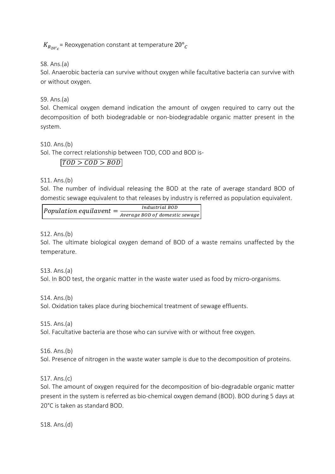$K_{R_{20^{\circ}c}}$  = Reoxygenation constant at temperature  $20^{\circ}c$ 

S8. Ans.(a)

Sol. Anaerobic bacteria can survive without oxygen while facultative bacteria can survive with or without oxygen.

S9. Ans.(a)

Sol. Chemical oxygen demand indication the amount of oxygen required to carry out the decomposition of both biodegradable or non-biodegradable organic matter present in the system.

S10. Ans.(b) Sol. The correct relationship between TOD, COD and BOD is-

 $\vert TOD > COD > BOD \vert$ 

S11. Ans.(b)

Sol. The number of individual releasing the BOD at the rate of average standard BOD of domestic sewage equivalent to that releases by industry is referred as population equivalent.

| $ Population\;equilavent =$ | Industrial BOD                 |
|-----------------------------|--------------------------------|
|                             | Average BOD of domestic sewage |

S12. Ans.(b)

Sol. The ultimate biological oxygen demand of BOD of a waste remains unaffected by the temperature.

S13. Ans.(a)

Sol. In BOD test, the organic matter in the waste water used as food by micro-organisms.

S14. Ans.(b)

Sol. Oxidation takes place during biochemical treatment of sewage effluents.

S15. Ans.(a)

Sol. Facultative bacteria are those who can survive with or without free oxygen.

S16. Ans.(b)

Sol. Presence of nitrogen in the waste water sample is due to the decomposition of proteins.

S17. Ans.(c)

Sol. The amount of oxygen required for the decomposition of bio-degradable organic matter present in the system is referred as bio-chemical oxygen demand (BOD). BOD during 5 days at 20°C is taken as standard BOD.

S18. Ans.(d)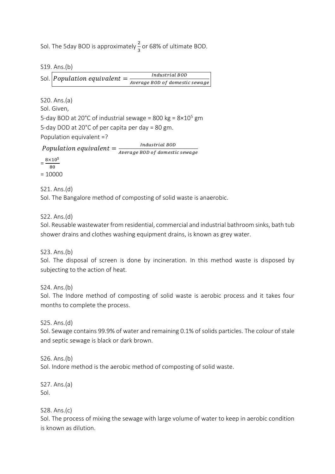Sol. The 5day BOD is approximately  $\frac{2}{3}$  or 68% of ultimate BOD.

S19. Ans.(b)

|  | Sol. <i>Population equivalent</i> = | Industrial BOD                 |  |
|--|-------------------------------------|--------------------------------|--|
|  |                                     | Average BOD of domestic sewage |  |

S20. Ans.(a)

Sol. Given,

5-day BOD at 20°C of industrial sewage = 800 kg =  $8\times10^{5}$  gm 5-day DOD at 20°C of per capita per day = 80 gm. Population equivalent =?

Population equivalent  $=\frac{IndustrialBOD}{A}$ Average BOD of domestic sewage

 $=\frac{8\times10^{5}}{80}$ 80 = 10000

S21. Ans.(d)

Sol. The Bangalore method of composting of solid waste is anaerobic.

S22. Ans.(d)

Sol. Reusable wastewater from residential, commercial and industrial bathroom sinks, bath tub shower drains and clothes washing equipment drains, is known as grey water.

S23. Ans.(b)

Sol. The disposal of screen is done by incineration. In this method waste is disposed by subjecting to the action of heat.

S24. Ans.(b)

Sol. The Indore method of composting of solid waste is aerobic process and it takes four months to complete the process.

S25. Ans.(d)

Sol. Sewage contains 99.9% of water and remaining 0.1% of solids particles. The colour of stale and septic sewage is black or dark brown.

S26. Ans.(b)

Sol. Indore method is the aerobic method of composting of solid waste.

S27. Ans.(a) Sol.

S28. Ans.(c)

Sol. The process of mixing the sewage with large volume of water to keep in aerobic condition is known as dilution.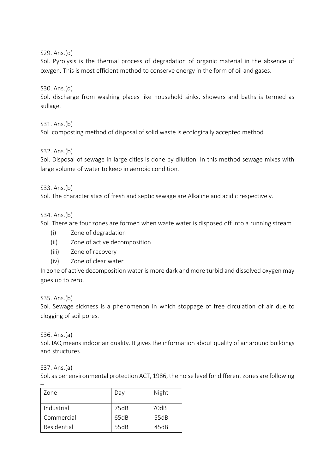S29. Ans.(d)

Sol. Pyrolysis is the thermal process of degradation of organic material in the absence of oxygen. This is most efficient method to conserve energy in the form of oil and gases.

S30. Ans.(d)

Sol. discharge from washing places like household sinks, showers and baths is termed as sullage.

S31. Ans.(b)

Sol. composting method of disposal of solid waste is ecologically accepted method.

S32. Ans.(b)

Sol. Disposal of sewage in large cities is done by dilution. In this method sewage mixes with large volume of water to keep in aerobic condition.

S33. Ans.(b)

Sol. The characteristics of fresh and septic sewage are Alkaline and acidic respectively.

## S34. Ans.(b)

Sol. There are four zones are formed when waste water is disposed off into a running stream

- (i) Zone of degradation
- (ii) Zone of active decomposition
- (iii) Zone of recovery
- (iv) Zone of clear water

In zone of active decomposition water is more dark and more turbid and dissolved oxygen may goes up to zero.

S35. Ans.(b)

Sol. Sewage sickness is a phenomenon in which stoppage of free circulation of air due to clogging of soil pores.

S36. Ans.(a)

Sol. IAQ means indoor air quality. It gives the information about quality of air around buildings and structures.

S37. Ans.(a)

Sol. as per environmental protection ACT, 1986, the noise level for different zones are following

| 7one        | Day  | Night |
|-------------|------|-------|
|             |      |       |
| Industrial  | 75dB | 70dB  |
| Commercial  | 65dB | 55dB  |
| Residential | 55dB | 45dB  |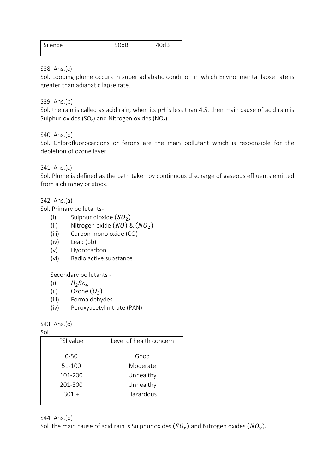| Silence | 50dR | 104D |
|---------|------|------|
|         |      |      |

S38. Ans.(c)

Sol. Looping plume occurs in super adiabatic condition in which Environmental lapse rate is greater than adiabatic lapse rate.

S39. Ans.(b)

Sol. the rain is called as acid rain, when its pH is less than 4.5. then main cause of acid rain is Sulphur oxides (SO<sub>x</sub>) and Nitrogen oxides (NO<sub>x</sub>).

S40. Ans.(b)

Sol. Chlorofluorocarbons or ferons are the main pollutant which is responsible for the depletion of ozone layer.

S41. Ans.(c)

Sol. Plume is defined as the path taken by continuous discharge of gaseous effluents emitted from a chimney or stock.

S42. Ans.(a)

Sol. Primary pollutants-

- (i) Sulphur dioxide  $(SO_2)$
- (ii) Nitrogen oxide  $(NO)$  &  $(NO<sub>2</sub>)$
- (iii) Carbon mono oxide (CO)
- (iv) Lead (pb)
- (v) Hydrocarbon
- (vi) Radio active substance

Secondary pollutants -

- (i)  $H_2SO_4$
- (ii) Ozone  $(O_3)$
- (iii) Formaldehydes
- (iv) Peroxyacetyl nitrate (PAN)

S43. Ans.(c)

Sol.

| ---       |                         |  |
|-----------|-------------------------|--|
| PSI value | Level of health concern |  |
| $0 - 50$  | Good                    |  |
| 51-100    | Moderate                |  |
| 101-200   | Unhealthy               |  |
| 201-300   | Unhealthy               |  |
| $301 +$   | Hazardous               |  |
|           |                         |  |

S44. Ans.(b)

Sol. the main cause of acid rain is Sulphur oxides  $(SO_\chi)$  and Nitrogen oxides  $(NO_\chi).$